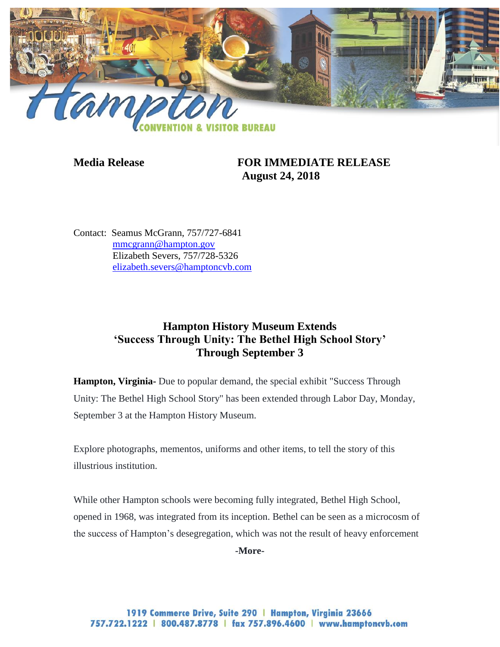

## **Media Release FOR IMMEDIATE RELEASE August 24, 2018**

Contact: Seamus McGrann, 757/727-6841 [mmcgrann@hampton.gov](mailto:mmcgrann@hampton.gov) Elizabeth Severs, 757/728-5326 [elizabeth.severs@hamptoncvb.com](mailto:elizabeth.severs@hamptoncvb.com)

## **Hampton History Museum Extends 'Success Through Unity: The Bethel High School Story' Through September 3**

**Hampton, Virginia-** Due to popular demand, the special exhibit "Success Through Unity: The Bethel High School Story" has been extended through Labor Day, Monday, September 3 at the Hampton History Museum.

Explore photographs, mementos, uniforms and other items, to tell the story of this illustrious institution.

While other Hampton schools were becoming fully integrated, Bethel High School, opened in 1968, was integrated from its inception. Bethel can be seen as a microcosm of the success of Hampton's desegregation, which was not the result of heavy enforcement

**-More-**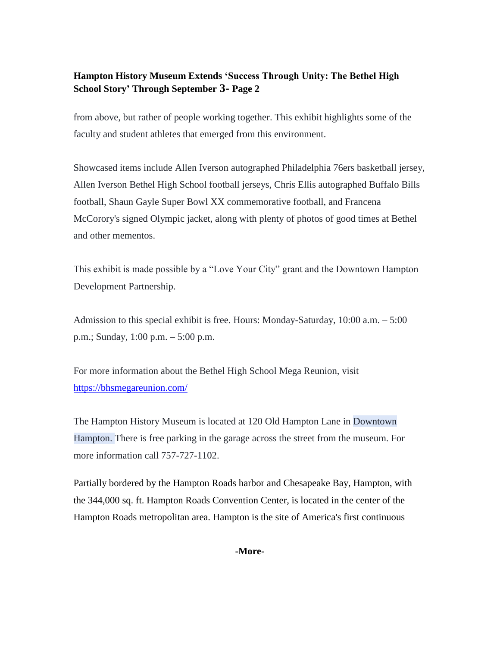## **Hampton History Museum Extends 'Success Through Unity: The Bethel High School Story' Through September 3- Page 2**

from above, but rather of people working together. This exhibit highlights some of the faculty and student athletes that emerged from this environment.

Showcased items include Allen Iverson autographed Philadelphia 76ers basketball jersey, Allen Iverson Bethel High School football jerseys, Chris Ellis autographed Buffalo Bills football, Shaun Gayle Super Bowl XX commemorative football, and Francena McCorory's signed Olympic jacket, along with plenty of photos of good times at Bethel and other mementos.

This exhibit is made possible by a "Love Your City" grant and the Downtown Hampton Development Partnership.

Admission to this special exhibit is free. Hours: Monday-Saturday, 10:00 a.m. – 5:00 p.m.; Sunday, 1:00 p.m. – 5:00 p.m.

For more information about the Bethel High School Mega Reunion, visit <https://bhsmegareunion.com/>

The Hampton History Museum is located at 120 Old Hampton Lane in Downtown Hampton. There is free parking in the garage across the street from the museum. For more information call 757-727-1102.

Partially bordered by the Hampton Roads harbor and Chesapeake Bay, Hampton, with the 344,000 sq. ft. Hampton Roads Convention Center, is located in the center of the Hampton Roads metropolitan area. Hampton is the site of America's first continuous

**-More-**